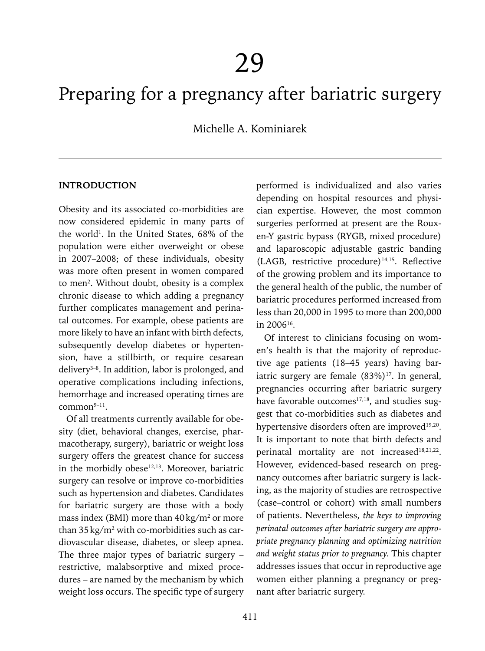# Preparing for a pregnancy after bariatric surgery

Michelle A. Kominiarek

#### **INTRODUCTION**

Obesity and its associated co-morbidities are now considered epidemic in many parts of the world<sup>1</sup>. In the United States, 68% of the population were either overweight or obese in 2007–2008; of these individuals, obesity was more often present in women compared to men<sup>2</sup>. Without doubt, obesity is a complex chronic disease to which adding a pregnancy further complicates management and perinatal outcomes. For example, obese patients are more likely to have an infant with birth defects, subsequently develop diabetes or hypertension, have a stillbirth, or require cesarean delivery3–8. In addition, labor is prolonged, and operative complications including infections, hemorrhage and increased operating times are  $common<sup>9-11</sup>$ .

Of all treatments currently available for obesity (diet, behavioral changes, exercise, pharmacotherapy, surgery), bariatric or weight loss surgery offers the greatest chance for success in the morbidly obese<sup>12,13</sup>. Moreover, bariatric surgery can resolve or improve co-morbidities such as hypertension and diabetes. Candidates for bariatric surgery are those with a body mass index (BMI) more than  $40\,\mathrm{kg/m^2}$  or more than  $35 \,\mathrm{kg/m^2}$  with co-morbidities such as cardiovascular disease, diabetes, or sleep apnea. The three major types of bariatric surgery – restrictive, malabsorptive and mixed procedures – are named by the mechanism by which weight loss occurs. The specific type of surgery

performed is individualized and also varies depending on hospital resources and physician expertise. However, the most common surgeries performed at present are the Rouxen-Y gastric bypass (RYGB, mixed procedure) and laparoscopic adjustable gastric banding (LAGB, restrictive procedure)14,15. Reflective of the growing problem and its importance to the general health of the public, the number of bariatric procedures performed increased from less than 20,000 in 1995 to more than 200,000 in 200616.

Of interest to clinicians focusing on women's health is that the majority of reproductive age patients (18–45 years) having bariatric surgery are female  $(83\%)$ <sup>17</sup>. In general, pregnancies occurring after bariatric surgery have favorable outcomes<sup>17,18</sup>, and studies suggest that co-morbidities such as diabetes and hypertensive disorders often are improved<sup>19,20</sup>. It is important to note that birth defects and perinatal mortality are not increased<sup>18,21,22</sup>. However, evidenced-based research on pregnancy outcomes after bariatric surgery is lacking, as the majority of studies are retrospective (case–control or cohort) with small numbers of patients. Nevertheless, *the keys to improving perinatal outcomes after bariatric surgery are appropriate pregnancy planning and optimizing nutrition and weight status prior to pregnancy.* This chapter addresses issues that occur in reproductive age women either planning a pregnancy or pregnant after bariatric surgery.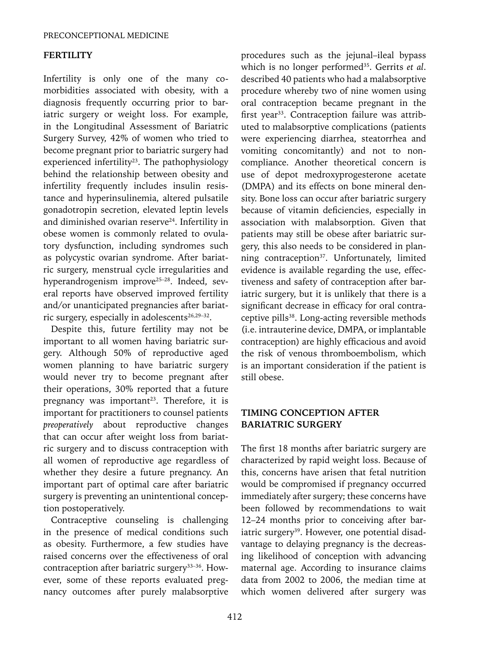### **FERTILITY**

Infertility is only one of the many comorbidities associated with obesity, with a diagnosis frequently occurring prior to bariatric surgery or weight loss. For example, in the Longitudinal Assessment of Bariatric Surgery Survey, 42% of women who tried to become pregnant prior to bariatric surgery had experienced infertility<sup>23</sup>. The pathophysiology behind the relationship between obesity and infertility frequently includes insulin resistance and hyperinsulinemia, altered pulsatile gonadotropin secretion, elevated leptin levels and diminished ovarian reserve<sup>24</sup>. Infertility in obese women is commonly related to ovulatory dysfunction, including syndromes such as polycystic ovarian syndrome. After bariatric surgery, menstrual cycle irregularities and hyperandrogenism improve<sup>25-28</sup>. Indeed, several reports have observed improved fertility and/or unanticipated pregnancies after bariatric surgery, especially in adolescents<sup>26,29-32</sup>.

Despite this, future fertility may not be important to all women having bariatric surgery. Although 50% of reproductive aged women planning to have bariatric surgery would never try to become pregnant after their operations, 30% reported that a future pregnancy was important<sup>23</sup>. Therefore, it is important for practitioners to counsel patients *preoperatively* about reproductive changes that can occur after weight loss from bariatric surgery and to discuss contraception with all women of reproductive age regardless of whether they desire a future pregnancy. An important part of optimal care after bariatric surgery is preventing an unintentional conception postoperatively.

Contraceptive counseling is challenging in the presence of medical conditions such as obesity. Furthermore, a few studies have raised concerns over the effectiveness of oral contraception after bariatric surgery<sup>33-36</sup>. However, some of these reports evaluated pregnancy outcomes after purely malabsorptive procedures such as the jejunal–ileal bypass which is no longer performed<sup>35</sup>. Gerrits *et al.* described 40 patients who had a malabsorptive procedure whereby two of nine women using oral contraception became pregnant in the first year<sup>33</sup>. Contraception failure was attributed to malabsorptive complications (patients were experiencing diarrhea, steatorrhea and vomiting concomitantly) and not to noncompliance. Another theoretical concern is use of depot medroxyprogesterone acetate (DMPA) and its effects on bone mineral density. Bone loss can occur after bariatric surgery because of vitamin deficiencies, especially in association with malabsorption. Given that patients may still be obese after bariatric surgery, this also needs to be considered in planning contraception<sup>37</sup>. Unfortunately, limited evidence is available regarding the use, effectiveness and safety of contraception after bariatric surgery, but it is unlikely that there is a significant decrease in efficacy for oral contraceptive pills<sup>38</sup>. Long-acting reversible methods (i.e. intrauterine device, DMPA, or implantable contraception) are highly efficacious and avoid the risk of venous thromboembolism, which is an important consideration if the patient is still obese.

# **TIMING CONCEPTION AFTER BARIATRIC SURGERY**

The first 18 months after bariatric surgery are characterized by rapid weight loss. Because of this, concerns have arisen that fetal nutrition would be compromised if pregnancy occurred immediately after surgery; these concerns have been followed by recommendations to wait 12–24 months prior to conceiving after bariatric surgery<sup>39</sup>. However, one potential disadvantage to delaying pregnancy is the decreasing likelihood of conception with advancing maternal age. According to insurance claims data from 2002 to 2006, the median time at which women delivered after surgery was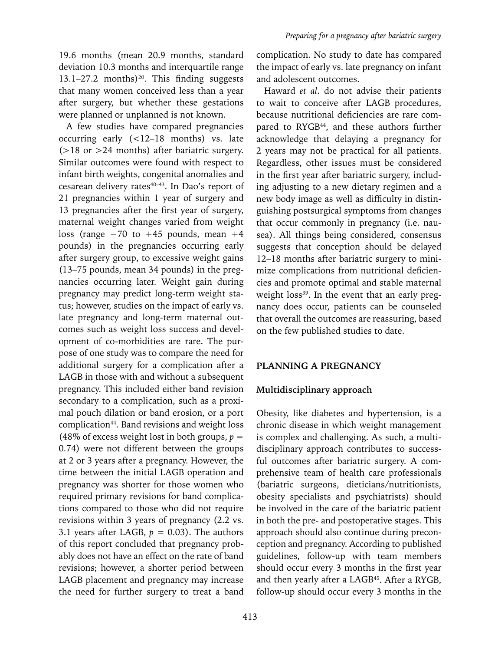19.6 months (mean 20.9 months, standard deviation 10.3 months and interquartile range 13.1–27.2 months)<sup>20</sup>. This finding suggests that many women conceived less than a year after surgery, but whether these gestations were planned or unplanned is not known.

A few studies have compared pregnancies occurring early (<12–18 months) vs. late  $($ >18 or >24 months) after bariatric surgery. Similar outcomes were found with respect to infant birth weights, congenital anomalies and cesarean delivery rates<sup>40-43</sup>. In Dao's report of 21 pregnancies within 1 year of surgery and 13 pregnancies after the first year of surgery, maternal weight changes varied from weight loss (range −70 to +45 pounds, mean +4 pounds) in the pregnancies occurring early after surgery group, to excessive weight gains (13–75 pounds, mean 34 pounds) in the pregnancies occurring later. Weight gain during pregnancy may predict long-term weight status; however, studies on the impact of early vs. late pregnancy and long-term maternal outcomes such as weight loss success and development of co-morbidities are rare. The purpose of one study was to compare the need for additional surgery for a complication after a LAGB in those with and without a subsequent pregnancy. This included either band revision secondary to a complication, such as a proximal pouch dilation or band erosion, or a port complication<sup>44</sup>. Band revisions and weight loss (48% of excess weight lost in both groups,  $p =$ 0.74) were not different between the groups at 2 or 3 years after a pregnancy. However, the time between the initial LAGB operation and pregnancy was shorter for those women who required primary revisions for band complications compared to those who did not require revisions within 3 years of pregnancy (2.2 vs. 3.1 years after LAGB,  $p = 0.03$ ). The authors of this report concluded that pregnancy probably does not have an effect on the rate of band revisions; however, a shorter period between LAGB placement and pregnancy may increase the need for further surgery to treat a band complication. No study to date has compared the impact of early vs. late pregnancy on infant and adolescent outcomes.

Haward *et al*. do not advise their patients to wait to conceive after LAGB procedures, because nutritional deficiencies are rare compared to RYGB<sup>44</sup>, and these authors further acknowledge that delaying a pregnancy for 2 years may not be practical for all patients. Regardless, other issues must be considered in the first year after bariatric surgery, including adjusting to a new dietary regimen and a new body image as well as difficulty in distinguishing postsurgical symptoms from changes that occur commonly in pregnancy (i.e. nausea). All things being considered, consensus suggests that conception should be delayed 12–18 months after bariatric surgery to minimize complications from nutritional deficiencies and promote optimal and stable maternal weight loss<sup>39</sup>. In the event that an early pregnancy does occur, patients can be counseled that overall the outcomes are reassuring, based on the few published studies to date.

## **PLANNING A PREGNANCY**

# **Multidisciplinary approach**

Obesity, like diabetes and hypertension, is a chronic disease in which weight management is complex and challenging. As such, a multidisciplinary approach contributes to successful outcomes after bariatric surgery. A comprehensive team of health care professionals (bariatric surgeons, dieticians/nutritionists, obesity specialists and psychiatrists) should be involved in the care of the bariatric patient in both the pre- and postoperative stages. This approach should also continue during preconception and pregnancy. According to published guidelines, follow-up with team members should occur every 3 months in the first year and then yearly after a LAGB45. After a RYGB, follow-up should occur every 3 months in the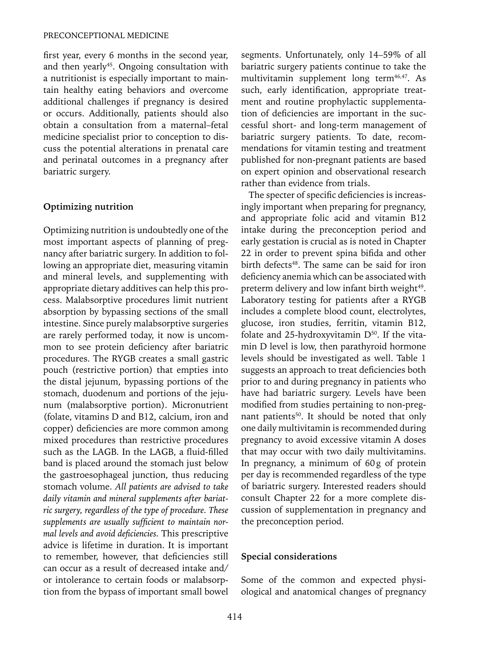first year, every 6 months in the second year, and then yearly<sup>45</sup>. Ongoing consultation with a nutritionist is especially important to maintain healthy eating behaviors and overcome additional challenges if pregnancy is desired or occurs. Additionally, patients should also obtain a consultation from a maternal–fetal medicine specialist prior to conception to discuss the potential alterations in prenatal care and perinatal outcomes in a pregnancy after bariatric surgery.

#### **Optimizing nutrition**

Optimizing nutrition is undoubtedly one of the most important aspects of planning of pregnancy after bariatric surgery. In addition to following an appropriate diet, measuring vitamin and mineral levels, and supplementing with appropriate dietary additives can help this process. Malabsorptive procedures limit nutrient absorption by bypassing sections of the small intestine. Since purely malabsorptive surgeries are rarely performed today, it now is uncommon to see protein deficiency after bariatric procedures. The RYGB creates a small gastric pouch (restrictive portion) that empties into the distal jejunum, bypassing portions of the stomach, duodenum and portions of the jejunum (malabsorptive portion). Micronutrient (folate, vitamins D and B12, calcium, iron and copper) deficiencies are more common among mixed procedures than restrictive procedures such as the LAGB. In the LAGB, a fluid-filled band is placed around the stomach just below the gastroesophageal junction, thus reducing stomach volume. *All patients are advised to take daily vitamin and mineral supplements after bariatric surgery, regardless of the type of procedure. These supplements are usually sufficient to maintain normal levels and avoid deficiencies.* This prescriptive advice is lifetime in duration. It is important to remember, however, that deficiencies still can occur as a result of decreased intake and/ or intolerance to certain foods or malabsorption from the bypass of important small bowel segments. Unfortunately, only 14–59% of all bariatric surgery patients continue to take the multivitamin supplement long term<sup>46,47</sup>. As such, early identification, appropriate treatment and routine prophylactic supplementation of deficiencies are important in the successful short- and long-term management of bariatric surgery patients. To date, recommendations for vitamin testing and treatment published for non-pregnant patients are based on expert opinion and observational research rather than evidence from trials.

The specter of specific deficiencies is increasingly important when preparing for pregnancy, and appropriate folic acid and vitamin B12 intake during the preconception period and early gestation is crucial as is noted in Chapter 22 in order to prevent spina bifida and other birth defects<sup>48</sup>. The same can be said for iron deficiency anemia which can be associated with preterm delivery and low infant birth weight<sup>49</sup>. Laboratory testing for patients after a RYGB includes a complete blood count, electrolytes, glucose, iron studies, ferritin, vitamin B12, folate and 25-hydroxyvitamin  $D^{50}$ . If the vitamin D level is low, then parathyroid hormone levels should be investigated as well. Table 1 suggests an approach to treat deficiencies both prior to and during pregnancy in patients who have had bariatric surgery. Levels have been modified from studies pertaining to non-pregnant patients<sup>50</sup>. It should be noted that only one daily multivitamin is recommended during pregnancy to avoid excessive vitamin A doses that may occur with two daily multivitamins. In pregnancy, a minimum of 60g of protein per day is recommended regardless of the type of bariatric surgery. Interested readers should consult Chapter 22 for a more complete discussion of supplementation in pregnancy and the preconception period.

#### **Special considerations**

Some of the common and expected physiological and anatomical changes of pregnancy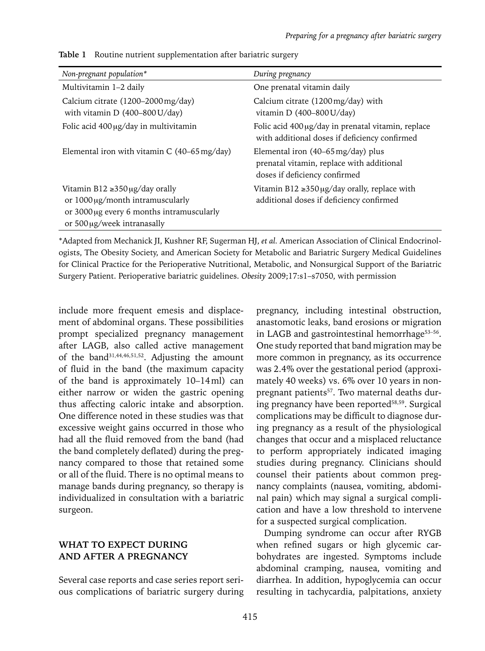| Non-pregnant population*                                                                                                                                    | During pregnancy                                                                                                            |
|-------------------------------------------------------------------------------------------------------------------------------------------------------------|-----------------------------------------------------------------------------------------------------------------------------|
| Multivitamin 1-2 daily                                                                                                                                      | One prenatal vitamin daily                                                                                                  |
| Calcium citrate (1200–2000 mg/day)<br>with vitamin D $(400-800 \text{ U/day})$                                                                              | Calcium citrate (1200 mg/day) with<br>vitamin D $(400-800 \text{ U/day})$                                                   |
| Folic acid $400 \mu g/day$ in multivitamin                                                                                                                  | Folic acid 400 µg/day in prenatal vitamin, replace<br>with additional doses if deficiency confirmed                         |
| Elemental iron with vitamin C $(40-65 \text{ mg/day})$                                                                                                      | Elemental iron $(40-65 \,\text{mg/day})$ plus<br>prenatal vitamin, replace with additional<br>doses if deficiency confirmed |
| Vitamin B12 $\geq$ 350 µg/day orally<br>or $1000 \mu g/m$ intramuscularly<br>or 3000 µg every 6 months intramuscularly<br>or $500 \mu g$ /week intranasally | Vitamin $B12 \ge 350 \mu g/day$ orally, replace with<br>additional doses if deficiency confirmed                            |

**Table 1** Routine nutrient supplementation after bariatric surgery

\*Adapted from Mechanick JI, Kushner RF, Sugerman HJ, *et al.* American Association of Clinical Endocrinologists, The Obesity Society, and American Society for Metabolic and Bariatric Surgery Medical Guidelines for Clinical Practice for the Perioperative Nutritional, Metabolic, and Nonsurgical Support of the Bariatric Surgery Patient. Perioperative bariatric guidelines. *Obesity* 2009;17:s1–s7050, with permission

include more frequent emesis and displacement of abdominal organs. These possibilities prompt specialized pregnancy management after LAGB, also called active management of the band31,44,46,51,52. Adjusting the amount of fluid in the band (the maximum capacity of the band is approximately 10–14ml) can either narrow or widen the gastric opening thus affecting caloric intake and absorption. One difference noted in these studies was that excessive weight gains occurred in those who had all the fluid removed from the band (had the band completely deflated) during the pregnancy compared to those that retained some or all of the fluid. There is no optimal means to manage bands during pregnancy, so therapy is individualized in consultation with a bariatric surgeon.

# **WHAT TO EXPECT DURING AND AFTER A PREGNANCY**

Several case reports and case series report serious complications of bariatric surgery during

pregnancy, including intestinal obstruction, anastomotic leaks, band erosions or migration in LAGB and gastrointestinal hemorrhage<sup>53-56</sup>. One study reported that band migration may be more common in pregnancy, as its occurrence was 2.4% over the gestational period (approximately 40 weeks) vs. 6% over 10 years in nonpregnant patients<sup>57</sup>. Two maternal deaths during pregnancy have been reported<sup>58,59</sup>. Surgical complications may be difficult to diagnose during pregnancy as a result of the physiological changes that occur and a misplaced reluctance to perform appropriately indicated imaging studies during pregnancy. Clinicians should counsel their patients about common pregnancy complaints (nausea, vomiting, abdominal pain) which may signal a surgical complication and have a low threshold to intervene for a suspected surgical complication.

Dumping syndrome can occur after RYGB when refined sugars or high glycemic carbohydrates are ingested. Symptoms include abdominal cramping, nausea, vomiting and diarrhea. In addition, hypoglycemia can occur resulting in tachycardia, palpitations, anxiety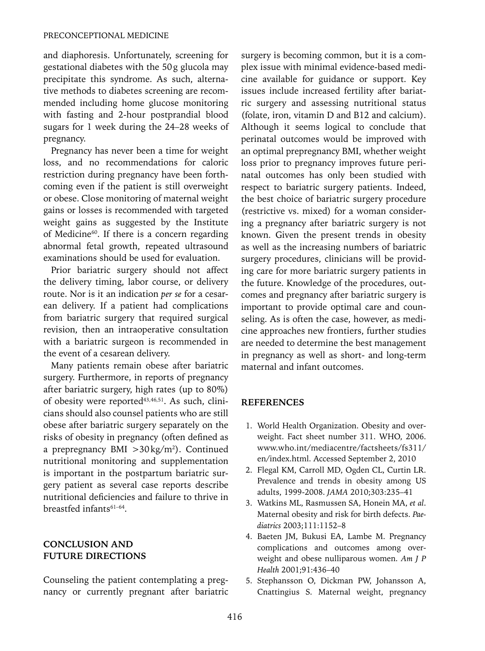and diaphoresis. Unfortunately, screening for gestational diabetes with the 50g glucola may precipitate this syndrome. As such, alternative methods to diabetes screening are recommended including home glucose monitoring with fasting and 2-hour postprandial blood sugars for 1 week during the 24–28 weeks of pregnancy.

Pregnancy has never been a time for weight loss, and no recommendations for caloric restriction during pregnancy have been forthcoming even if the patient is still overweight or obese. Close monitoring of maternal weight gains or losses is recommended with targeted weight gains as suggested by the Institute of Medicine<sup>60</sup>. If there is a concern regarding abnormal fetal growth, repeated ultrasound examinations should be used for evaluation.

Prior bariatric surgery should not affect the delivery timing, labor course, or delivery route. Nor is it an indication *per se* for a cesarean delivery. If a patient had complications from bariatric surgery that required surgical revision, then an intraoperative consultation with a bariatric surgeon is recommended in the event of a cesarean delivery.

Many patients remain obese after bariatric surgery. Furthermore, in reports of pregnancy after bariatric surgery, high rates (up to 80%) of obesity were reported<sup>43,46,51</sup>. As such, clinicians should also counsel patients who are still obese after bariatric surgery separately on the risks of obesity in pregnancy (often defined as a prepregnancy BMI >30kg/m2 ). Continued nutritional monitoring and supplementation is important in the postpartum bariatric surgery patient as several case reports describe nutritional deficiencies and failure to thrive in breastfed infants61–64.

## **CONCLUSION AND FUTURE DIRECTIONS**

Counseling the patient contemplating a pregnancy or currently pregnant after bariatric surgery is becoming common, but it is a complex issue with minimal evidence-based medicine available for guidance or support. Key issues include increased fertility after bariatric surgery and assessing nutritional status (folate, iron, vitamin D and B12 and calcium). Although it seems logical to conclude that perinatal outcomes would be improved with an optimal prepregnancy BMI, whether weight loss prior to pregnancy improves future perinatal outcomes has only been studied with respect to bariatric surgery patients. Indeed, the best choice of bariatric surgery procedure (restrictive vs. mixed) for a woman considering a pregnancy after bariatric surgery is not known. Given the present trends in obesity as well as the increasing numbers of bariatric surgery procedures, clinicians will be providing care for more bariatric surgery patients in the future. Knowledge of the procedures, outcomes and pregnancy after bariatric surgery is important to provide optimal care and counseling. As is often the case, however, as medicine approaches new frontiers, further studies are needed to determine the best management in pregnancy as well as short- and long-term maternal and infant outcomes.

#### **References**

- 1. World Health Organization. Obesity and overweight. Fact sheet number 311. WHO, 2006. www.who.int/mediacentre/factsheets/fs311/ en/index.html. Accessed September 2, 2010
- 2. Flegal KM, Carroll MD, Ogden CL, Curtin LR. Prevalence and trends in obesity among US adults, 1999-2008. *JAMA* 2010;303:235–41
- 3. Watkins ML, Rasmussen SA, Honein MA, *et al*. Maternal obesity and risk for birth defects. *Paediatrics* 2003;111:1152–8
- 4. Baeten JM, Bukusi EA, Lambe M. Pregnancy complications and outcomes among overweight and obese nulliparous women. *Am J P Health* 2001;91:436–40
- 5. Stephansson O, Dickman PW, Johansson A, Cnattingius S. Maternal weight, pregnancy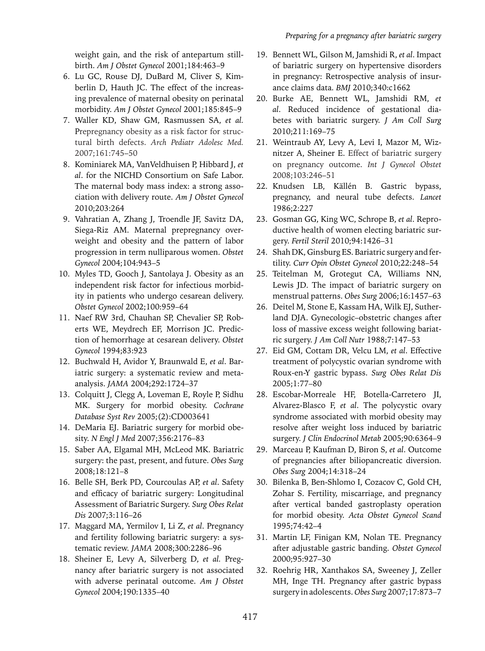weight gain, and the risk of antepartum stillbirth. *Am J Obstet Gynecol* 2001;184:463–9

- 6. Lu GC, Rouse DJ, DuBard M, Cliver S, Kimberlin D, Hauth JC. The effect of the increasing prevalence of maternal obesity on perinatal morbidity. *Am J Obstet Gynecol* 2001;185:845–9
- 7. Waller KD, Shaw GM, Rasmussen SA, *et al.* Prepregnancy obesity as a risk factor for structural birth defects. *Arch Pediatr Adolesc Med.*  2007;161:745–50
- 8. Kominiarek MA, VanVeldhuisen P, Hibbard J, *et al*. for the NICHD Consortium on Safe Labor. The maternal body mass index: a strong association with delivery route. *Am J Obstet Gynecol* 2010;203:264
- 9. Vahratian A, Zhang J, Troendle JF, Savitz DA, Siega-Riz AM. Maternal prepregnancy overweight and obesity and the pattern of labor progression in term nulliparous women. *Obstet Gynecol* 2004;104:943–5
- 10. Myles TD, Gooch J, Santolaya J. Obesity as an independent risk factor for infectious morbidity in patients who undergo cesarean delivery. *Obstet Gynecol* 2002;100:959–64
- 11. Naef RW 3rd, Chauhan SP, Chevalier SP, Roberts WE, Meydrech EF, Morrison JC. Prediction of hemorrhage at cesarean delivery. *Obstet Gynecol* 1994;83:923
- 12. Buchwald H, Avidor Y, Braunwald E, *et al*. Bariatric surgery: a systematic review and metaanalysis. *JAMA* 2004;292:1724–37
- 13. Colquitt J, Clegg A, Loveman E, Royle P, Sidhu MK. Surgery for morbid obesity. *Cochrane Database Syst Rev* 2005;(2):CD003641
- 14. DeMaria EJ. Bariatric surgery for morbid obesity. *N Engl J Med* 2007;356:2176–83
- 15. Saber AA, Elgamal MH, McLeod MK. Bariatric surgery: the past, present, and future. *Obes Surg* 2008;18:121–8
- 16. Belle SH, Berk PD, Courcoulas AP, *et al*. Safety and efficacy of bariatric surgery: Longitudinal Assessment of Bariatric Surgery. *Surg Obes Relat Dis* 2007;3:116–26
- 17. Maggard MA, Yermilov I, Li Z, *et al*. Pregnancy and fertility following bariatric surgery: a systematic review. *JAMA* 2008;300:2286–96
- 18. Sheiner E, Levy A, Silverberg D, *et al.* Pregnancy after bariatric surgery is not associated with adverse perinatal outcome. *Am J Obstet Gynecol* 2004;190:1335–40
- 19. Bennett WL, Gilson M, Jamshidi R, *et al*. Impact of bariatric surgery on hypertensive disorders in pregnancy: Retrospective analysis of insurance claims data. *BMJ* 2010;340:c1662
- 20. Burke AE, Bennett WL, Jamshidi RM, *et al*. Reduced incidence of gestational diabetes with bariatric surgery. *J Am Coll Surg* 2010;211:169–75
- 21. Weintraub AY, Levy A, Levi I, Mazor M, Wiznitzer A, Sheiner E. Effect of bariatric surgery on pregnancy outcome. *Int J Gynecol Obstet* 2008;103:246–51
- 22. Knudsen LB, Källén B. Gastric bypass, pregnancy, and neural tube defects. *Lancet* 1986;2:227
- 23. Gosman GG, King WC, Schrope B, *et al*. Reproductive health of women electing bariatric surgery. *Fertil Steril* 2010;94:1426–31
- 24. Shah DK, Ginsburg ES. Bariatric surgery and fertility. *Curr Opin Obstet Gynecol* 2010;22:248–54
- 25. Teitelman M, Grotegut CA, Williams NN, Lewis JD. The impact of bariatric surgery on menstrual patterns. *Obes Surg* 2006;16:1457–63
- 26. Deitel M, Stone E, Kassam HA, Wilk EJ, Sutherland DJA. Gynecologic–obstetric changes after loss of massive excess weight following bariatric surgery. *J Am Coll Nutr* 1988;7:147–53
- 27. Eid GM, Cottam DR, Velcu LM, *et al*. Effective treatment of polycystic ovarian syndrome with Roux-en-Y gastric bypass. *Surg Obes Relat Dis* 2005;1:77–80
- 28. Escobar-Morreale HF, Botella-Carretero JI, Alvarez-Blasco F, *et al*. The polycystic ovary syndrome associated with morbid obesity may resolve after weight loss induced by bariatric surgery. *J Clin Endocrinol Metab* 2005;90:6364–9
- 29. Marceau P, Kaufman D, Biron S, *et al*. Outcome of pregnancies after biliopancreatic diversion. *Obes Surg* 2004;14:318–24
- 30. Bilenka B, Ben-Shlomo I, Cozacov C, Gold CH, Zohar S. Fertility, miscarriage, and pregnancy after vertical banded gastroplasty operation for morbid obesity. *Acta Obstet Gynecol Scand* 1995;74:42–4
- 31. Martin LF, Finigan KM, Nolan TE. Pregnancy after adjustable gastric banding. *Obstet Gynecol* 2000;95:927–30
- 32. Roehrig HR, Xanthakos SA, Sweeney J, Zeller MH, Inge TH. Pregnancy after gastric bypass surgery in adolescents. *Obes Surg* 2007;17:873–7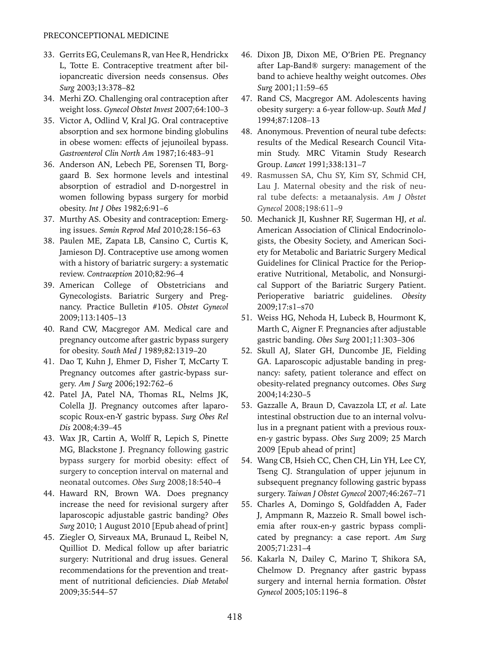- 33. Gerrits EG, Ceulemans R, van Hee R, Hendrickx L, Totte E. Contraceptive treatment after biliopancreatic diversion needs consensus. *Obes Surg* 2003;13:378–82
- 34. Merhi ZO. Challenging oral contraception after weight loss. *Gynecol Obstet Invest* 2007;64:100–3
- 35. Victor A, Odlind V, Kral JG. Oral contraceptive absorption and sex hormone binding globulins in obese women: effects of jejunoileal bypass. *Gastroenterol Clin North Am* 1987;16:483–91
- 36. Anderson AN, Lebech PE, Sorensen TI, Borggaard B. Sex hormone levels and intestinal absorption of estradiol and D-norgestrel in women following bypass surgery for morbid obesity. *Int J Obes* 1982;6:91–6
- 37. Murthy AS. Obesity and contraception: Emerging issues. *Semin Reprod Med* 2010;28:156–63
- 38. Paulen ME, Zapata LB, Cansino C, Curtis K, Jamieson DJ. Contraceptive use among women with a history of bariatric surgery: a systematic review. *Contraception* 2010;82:96–4
- 39. American College of Obstetricians and Gynecologists. Bariatric Surgery and Pregnancy. Practice Bulletin #105. *Obstet Gynecol* 2009;113:1405–13
- 40. Rand CW, Macgregor AM. Medical care and pregnancy outcome after gastric bypass surgery for obesity. *South Med J* 1989;82:1319–20
- 41. Dao T, Kuhn J, Ehmer D, Fisher T, McCarty T. Pregnancy outcomes after gastric-bypass surgery. *Am J Surg* 2006;192:762–6
- 42. Patel JA, Patel NA, Thomas RL, Nelms JK, Colella JJ. Pregnancy outcomes after laparoscopic Roux-en-Y gastric bypass. *Surg Obes Rel Dis* 2008;4:39–45
- 43. Wax JR, Cartin A, Wolff R, Lepich S, Pinette MG, Blackstone J. Pregnancy following gastric bypass surgery for morbid obesity: effect of surgery to conception interval on maternal and neonatal outcomes. *Obes Surg* 2008;18:540–4
- 44. Haward RN, Brown WA. Does pregnancy increase the need for revisional surgery after laparoscopic adjustable gastric banding? *Obes Surg* 2010; 1 August 2010 [Epub ahead of print]
- 45. Ziegler O, Sirveaux MA, Brunaud L, Reibel N, Quilliot D. Medical follow up after bariatric surgery: Nutritional and drug issues. General recommendations for the prevention and treatment of nutritional deficiencies. *Diab Metabol* 2009;35:544–57
- 46. Dixon JB, Dixon ME, O'Brien PE. Pregnancy after Lap-Band® surgery: management of the band to achieve healthy weight outcomes. *Obes Surg* 2001;11:59–65
- 47. Rand CS, Macgregor AM. Adolescents having obesity surgery: a 6-year follow-up. *South Med J* 1994;87:1208–13
- 48. Anonymous. Prevention of neural tube defects: results of the Medical Research Council Vitamin Study. MRC Vitamin Study Research Group. *Lancet* 1991;338:131–7
- 49. Rasmussen SA, Chu SY, Kim SY, Schmid CH, Lau J. Maternal obesity and the risk of neural tube defects: a metaanalysis. *Am J Obstet Gynecol* 2008;198:611–9
- 50. Mechanick JI, Kushner RF, Sugerman HJ, *et al*. American Association of Clinical Endocrinologists, the Obesity Society, and American Society for Metabolic and Bariatric Surgery Medical Guidelines for Clinical Practice for the Perioperative Nutritional, Metabolic, and Nonsurgical Support of the Bariatric Surgery Patient. Perioperative bariatric guidelines. *Obesity* 2009;17:s1–s70
- 51. Weiss HG, Nehoda H, Lubeck B, Hourmont K, Marth C, Aigner F. Pregnancies after adjustable gastric banding. *Obes Surg* 2001;11:303–306
- 52. Skull AJ, Slater GH, Duncombe JE, Fielding GA. Laparoscopic adjustable banding in pregnancy: safety, patient tolerance and effect on obesity-related pregnancy outcomes. *Obes Surg* 2004;14:230–5
- 53. Gazzalle A, Braun D, Cavazzola LT, *et al*. Late intestinal obstruction due to an internal volvulus in a pregnant patient with a previous rouxen-y gastric bypass. *Obes Surg* 2009; 25 March 2009 [Epub ahead of print]
- 54. Wang CB, Hsieh CC, Chen CH, Lin YH, Lee CY, Tseng CJ. Strangulation of upper jejunum in subsequent pregnancy following gastric bypass surgery. *Taiwan J Obstet Gynecol* 2007;46:267–71
- 55. Charles A, Domingo S, Goldfadden A, Fader J, Ampmann R, Mazzeio R. Small bowel ischemia after roux-en-y gastric bypass complicated by pregnancy: a case report. *Am Surg* 2005;71:231–4
- 56. Kakarla N, Dailey C, Marino T, Shikora SA, Chelmow D. Pregnancy after gastric bypass surgery and internal hernia formation. *Obstet Gynecol* 2005;105:1196–8